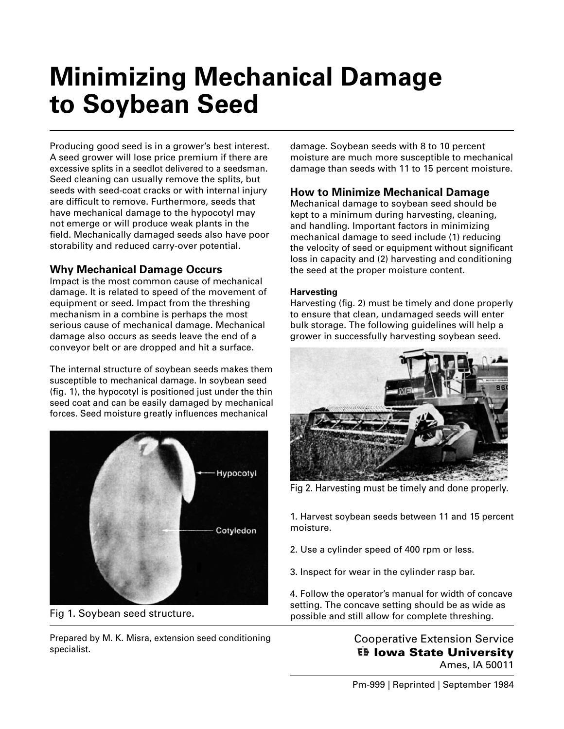# **Minimizing Mechanical Damage to Soybean Seed**

Producing good seed is in a grower's best interest. A seed grower will lose price premium if there are excessive splits in a seedlot delivered to a seedsman. Seed cleaning can usually remove the splits, but seeds with seed-coat cracks or with internal injury are difficult to remove. Furthermore, seeds that have mechanical damage to the hypocotyl may not emerge or will produce weak plants in the field. Mechanically damaged seeds also have poor storability and reduced carry-over potential.

## **Why Mechanical Damage Occurs**

Impact is the most common cause of mechanical damage. It is related to speed of the movement of equipment or seed. Impact from the threshing mechanism in a combine is perhaps the most serious cause of mechanical damage. Mechanical damage also occurs as seeds leave the end of a conveyor belt or are dropped and hit a surface.

The internal structure of soybean seeds makes them susceptible to mechanical damage. In soybean seed  $(f, 1)$ , the hypocotyl is positioned just under the thin seed coat and can be easily damaged by mechanical forces. Seed moisture greatly influences mechanical



Fig 1. Soybean seed structure.

Prepared by M. K. Misra, extension seed conditioning specialist.

damage. Soybean seeds with 8 to 10 percent moisture are much more susceptible to mechanical damage than seeds with 11 to 15 percent moisture.

# **How to Minimize Mechanical Damage**

Mechanical damage to soybean seed should be kept to a minimum during harvesting, cleaning, and handling. Important factors in minimizing mechanical damage to seed include (1) reducing the velocity of seed or equipment without significant loss in capacity and (2) harvesting and conditioning the seed at the proper moisture content.

### **Harvesting**

Harvesting (fig. 2) must be timely and done properly to ensure that clean, undamaged seeds will enter bulk storage. The following guidelines will help a grower in successfully harvesting soybean seed.



Fig 2. Harvesting must be timely and done properly.

1. Harvest soybean seeds between 11 and 15 percent moisture.

- 2. Use a cylinder speed of 400 rpm or less.
- 3. Inspect for wear in the cylinder rasp bar.

4. Follow the operator's manual for width of concave setting. The concave setting should be as wide as possible and still allow for complete threshing.

> [Cooperative Extension Service](http://www.extension.iastate.edu) **Iowa State University** Ames, IA 50011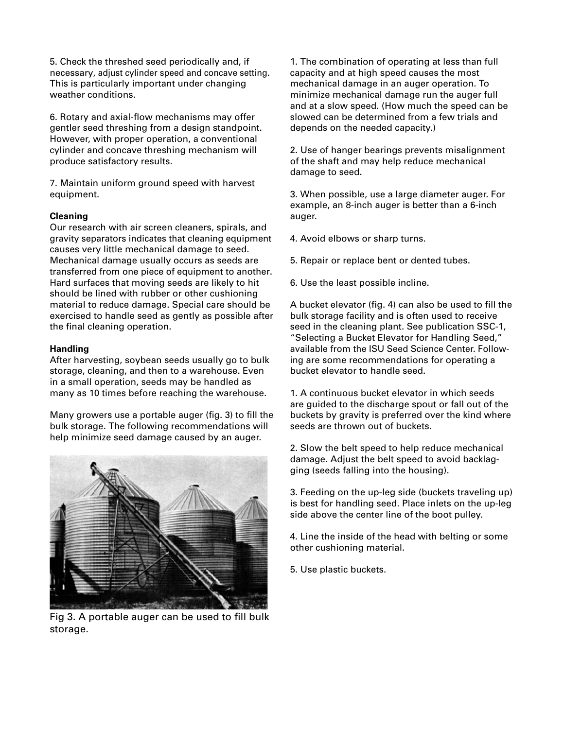5. Check the threshed seed periodically and, if necessary, adjust cylinder speed and concave setting. This is particularly important under changing weather conditions.

6. Rotary and axial-flow mechanisms may offer gentler seed threshing from a design standpoint. However, with proper operation, a conventional cylinder and concave threshing mechanism will produce satisfactory results.

7. Maintain uniform ground speed with harvest equipment.

#### **Cleaning**

Our research with air screen cleaners, spirals, and gravity separators indicates that cleaning equipment causes very little mechanical damage to seed. Mechanical damage usually occurs as seeds are transferred from one piece of equipment to another. Hard surfaces that moving seeds are likely to hit should be lined with rubber or other cushioning material to reduce damage. Special care should be exercised to handle seed as gently as possible after the final cleaning operation.

#### **Handling**

After harvesting, soybean seeds usually go to bulk storage, cleaning, and then to a warehouse. Even in a small operation, seeds may be handled as many as 10 times before reaching the warehouse.

Many growers use a portable auger (fig. 3) to fill the bulk storage. The following recommendations will help minimize seed damage caused by an auger.



Fig 3. A portable auger can be used to fill bulk storage.

1. The combination of operating at less than full capacity and at high speed causes the most mechanical damage in an auger operation. To minimize mechanical damage run the auger full and at a slow speed. (How much the speed can be slowed can be determined from a few trials and depends on the needed capacity.)

2. Use of hanger bearings prevents misalignment of the shaft and may help reduce mechanical damage to seed.

3. When possible, use a large diameter auger. For example, an 8-inch auger is better than a 6-inch auger.

- 4. Avoid elbows or sharp turns.
- 5. Repair or replace bent or dented tubes.
- 6. Use the least possible incline.

A bucket elevator (fig. 4) can also be used to fill the bulk storage facility and is often used to receive seed in the cleaning plant. See publication SSC-1, "Selecting a Bucket Elevator for Handling Seed," available from the ISU Seed Science Center. Following are some recommendations for operating a bucket elevator to handle seed.

1. A continuous bucket elevator in which seeds are guided to the discharge spout or fall out of the buckets by gravity is preferred over the kind where seeds are thrown out of buckets.

2. Slow the belt speed to help reduce mechanical damage. Adjust the belt speed to avoid backlagging (seeds falling into the housing).

3. Feeding on the up-leg side (buckets traveling up) is best for handling seed. Place inlets on the up-leg side above the center line of the boot pulley.

4. Line the inside of the head with belting or some other cushioning material.

5. Use plastic buckets.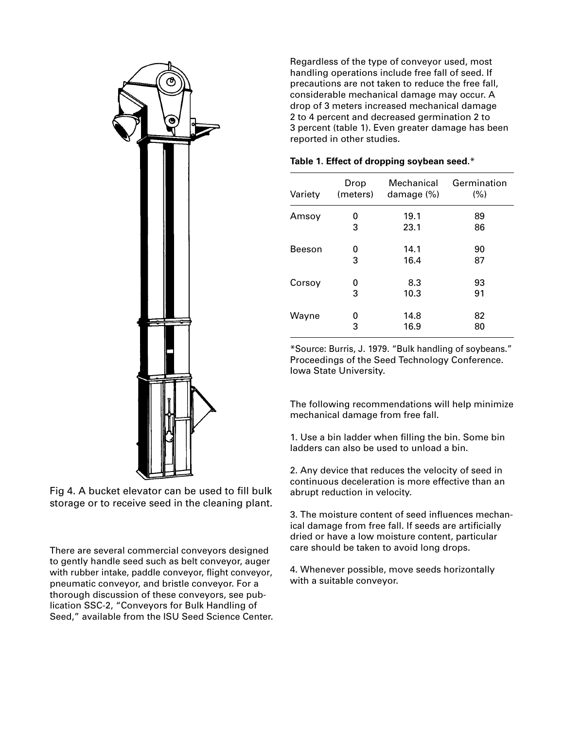

Fig 4. A bucket elevator can be used to fill bulk storage or to receive seed in the cleaning plant.

There are several commercial conveyors designed to gently handle seed such as belt conveyor, auger with rubber intake, paddle conveyor, flight conveyor, pneumatic conveyor, and bristle conveyor. For a thorough discussion of these conveyors, see publication SSC-2, "Conveyors for Bulk Handling of Seed," available from the ISU Seed Science Center.

Regardless of the type of conveyor used, most handling operations include free fall of seed. If precautions are not taken to reduce the free fall, considerable mechanical damage may occur. A drop of 3 meters increased mechanical damage 2 to 4 percent and decreased germination 2 to 3 percent (table 1). Even greater damage has been reported in other studies.

| Variety | Drop<br>(meters) | Mechanical<br>damage (%) | Germination<br>(%) |
|---------|------------------|--------------------------|--------------------|
| Amsoy   | 0                | 19.1                     | 89                 |
|         | 3                | 23.1                     | 86                 |
| Beeson  | O                | 14.1                     | 90                 |
|         | 3                | 16.4                     | 87                 |
| Corsoy  | 0                | 8.3                      | 93                 |
|         | 3                | 10.3                     | 91                 |
| Wayne   | 0                | 14.8                     | 82                 |
|         | 3                | 16.9                     | 80                 |

#### **Table 1. Effect of dropping soybean seed.**\*

\*Source: Burris, J. 1979. "Bulk handling of soybeans." Proceedings of the Seed Technology Conference. Iowa State University.

The following recommendations will help minimize mechanical damage from free fall.

1. Use a bin ladder when filling the bin. Some bin ladders can also be used to unload a bin.

2. Any device that reduces the velocity of seed in continuous deceleration is more effective than an abrupt reduction in velocity.

3. The moisture content of seed influences mechanical damage from free fall. If seeds are artificially dried or have a low moisture content, particular care should be taken to avoid long drops.

4. Whenever possible, move seeds horizontally with a suitable conveyor.